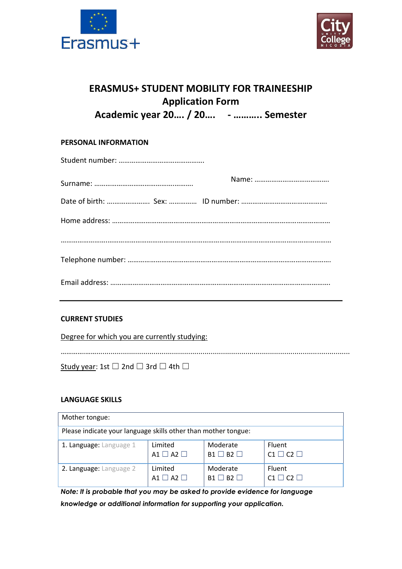



# **ERASMUS+ STUDENT MOBILITY FOR TRAINEESHIP Application Form Academic year 20…. / 20…. - ……….. Semester**

## **PERSONAL INFORMATION**

### **CURRENT STUDIES**

Degree for which you are currently studying:

………….……............................................................................................................................

Study year: 1st  $□$  2nd  $□$  3rd  $□$  4th  $□$ 

#### **LANGUAGE SKILLS**

| Mother tongue:                                                 |                   |                   |                         |  |
|----------------------------------------------------------------|-------------------|-------------------|-------------------------|--|
| Please indicate your language skills other than mother tongue: |                   |                   |                         |  |
| 1. Language: Language 1                                        | Limited           | Moderate          | Fluent                  |  |
|                                                                | $A1 \Box A2 \Box$ | $B1 \Box B2 \Box$ | $C1 \Box C2 \Box$       |  |
| 2. Language: Language 2                                        | Limited           | Moderate          | Fluent                  |  |
|                                                                | $A1 \Box A2 \Box$ | $B1 \Box B2 \Box$ | $C1 \square C2 \square$ |  |

*Note: It is probable that you may be asked to provide evidence for language knowledge or additional information for supporting your application.*